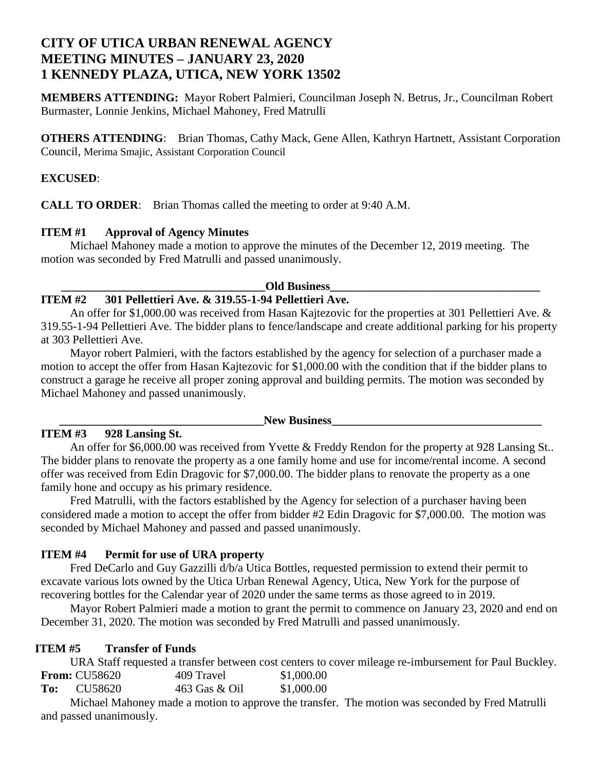## **CITY OF UTICA URBAN RENEWAL AGENCY MEETING MINUTES – JANUARY 23, 2020 1 KENNEDY PLAZA, UTICA, NEW YORK 13502**

**MEMBERS ATTENDING:** Mayor Robert Palmieri, Councilman Joseph N. Betrus, Jr., Councilman Robert Burmaster, Lonnie Jenkins, Michael Mahoney, Fred Matrulli

**OTHERS ATTENDING:** Brian Thomas, Cathy Mack, Gene Allen, Kathryn Hartnett, Assistant Corporation Council, Merima Smajic, Assistant Corporation Council

#### **EXCUSED**:

**CALL TO ORDER**: Brian Thomas called the meeting to order at 9:40 A.M.

#### **ITEM #1 Approval of Agency Minutes**

Michael Mahoney made a motion to approve the minutes of the December 12, 2019 meeting. The motion was seconded by Fred Matrulli and passed unanimously.

#### **Old Business**

## **ITEM #2 301 Pellettieri Ave. & 319.55-1-94 Pellettieri Ave.**

An offer for \$1,000.00 was received from Hasan Kajtezovic for the properties at 301 Pellettieri Ave. & 319.55-1-94 Pellettieri Ave. The bidder plans to fence/landscape and create additional parking for his property at 303 Pellettieri Ave.

Mayor robert Palmieri, with the factors established by the agency for selection of a purchaser made a motion to accept the offer from Hasan Kajtezovic for \$1,000.00 with the condition that if the bidder plans to construct a garage he receive all proper zoning approval and building permits. The motion was seconded by Michael Mahoney and passed unanimously.

### **ITEM #3 928 Lansing St.**

#### $\bf New \ Business$

An offer for \$6,000.00 was received from Yvette & Freddy Rendon for the property at 928 Lansing St.. The bidder plans to renovate the property as a one family home and use for income/rental income. A second offer was received from Edin Dragovic for \$7,000.00. The bidder plans to renovate the property as a one family hone and occupy as his primary residence.

Fred Matrulli, with the factors established by the Agency for selection of a purchaser having been considered made a motion to accept the offer from bidder #2 Edin Dragovic for \$7,000.00. The motion was seconded by Michael Mahoney and passed and passed unanimously.

### **ITEM #4 Permit for use of URA property**

Fred DeCarlo and Guy Gazzilli d/b/a Utica Bottles, requested permission to extend their permit to excavate various lots owned by the Utica Urban Renewal Agency, Utica, New York for the purpose of recovering bottles for the Calendar year of 2020 under the same terms as those agreed to in 2019.

Mayor Robert Palmieri made a motion to grant the permit to commence on January 23, 2020 and end on December 31, 2020. The motion was seconded by Fred Matrulli and passed unanimously.

### **ITEM #5 Transfer of Funds**

URA Staff requested a transfer between cost centers to cover mileage re-imbursement for Paul Buckley. **From:** CU58620 409 Travel \$1,000.00

| To: | CU58620 | 463 Gas & Oil | \$1,000.00 |
|-----|---------|---------------|------------|
|     | .       |               |            |

Michael Mahoney made a motion to approve the transfer. The motion was seconded by Fred Matrulli and passed unanimously.